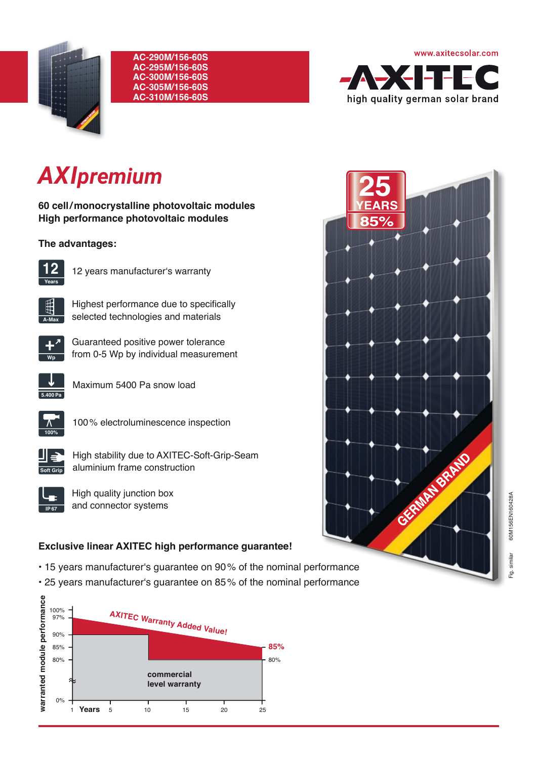

#### **AC-290M/156-60S AC-295M/156-60S AC-300M/156-60S AC-305M/156-60S AC-310M/156-60S**



# *AXIpremium*

**60 cell / monocrystalline photovoltaic modules High performance photovoltaic modules** 

### **The advantages:**



12 years manufacturer's warranty



Highest performance due to specifically selected technologies and materials



Guaranteed positive power tolerance from 0-5 Wp by individual measurement



Maximum 5400 Pa snow load



100 % electroluminescence inspection



High stability due to AXITEC-Soft-Grip-Seam aluminium frame construction



High quality junction box and connector systems

## **Exclusive linear AXITEC high performance guarantee!**

- 15 years manufacturer's guarantee on 90 % of the nominal performance
- 25 years manufacturer's guarantee on 85 % of the nominal performance